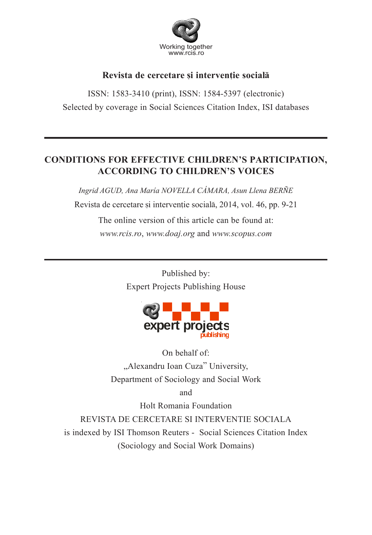

# Revista de cercetare și interventie socială

ISSN: 1583-3410 (print), ISSN: 1584-5397 (electronic) Selected by coverage in Social Sciences Citation Index, ISI databases

# **CONDITIONS FOR EFFECTIVE CHILDREN'S PARTICIPATION, ACCORDING TO CHILDREN'S VOICES**

*Ingrid AGUD, Ana María NOVELLA CÁMARA, Asun Llena BERÑE* Revista de cercetare și intervenție socială, 2014, vol. 46, pp. 9-21

> The online version of this article can be found at: *www.rcis.ro*, *www.doaj.org* and *www.scopus.com*

> > Published by: Expert Projects Publishing House



On behalf of: "Alexandru Ioan Cuza" University, Department of Sociology and Social Work

and

Holt Romania Foundation

REVISTA DE CERCETARE SI INTERVENTIE SOCIALA is indexed by ISI Thomson Reuters - Social Sciences Citation Index (Sociology and Social Work Domains)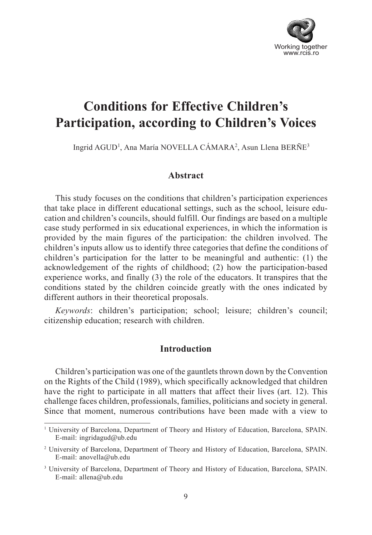

# **Conditions for Effective Children's Participation, according to Children's Voices**

Ingrid AGUD<sup>1</sup>, Ana María NOVELLA CÁMARA<sup>2</sup>, Asun Llena BERÑE<sup>3</sup>

## **Abstract**

This study focuses on the conditions that children's participation experiences that take place in different educational settings, such as the school, leisure education and children's councils, should fulfill. Our findings are based on a multiple case study performed in six educational experiences, in which the information is provided by the main figures of the participation: the children involved. The children's inputs allow us to identify three categories that define the conditions of children's participation for the latter to be meaningful and authentic: (1) the acknowledgement of the rights of childhood; (2) how the participation-based experience works, and finally (3) the role of the educators. It transpires that the conditions stated by the children coincide greatly with the ones indicated by different authors in their theoretical proposals.

*Keywords*: children's participation; school; leisure; children's council; citizenship education; research with children.

### **Introduction**

Children's participation was one of the gauntlets thrown down by the Convention on the Rights of the Child (1989), which specifically acknowledged that children have the right to participate in all matters that affect their lives (art. 12). This challenge faces children, professionals, families, politicians and society in general. Since that moment, numerous contributions have been made with a view to

<sup>&</sup>lt;sup>1</sup> University of Barcelona, Department of Theory and History of Education, Barcelona, SPAIN. E-mail: ingridagud@ub.edu

<sup>2</sup> University of Barcelona, Department of Theory and History of Education, Barcelona, SPAIN. E-mail: anovella@ub.edu

<sup>3</sup> University of Barcelona, Department of Theory and History of Education, Barcelona, SPAIN. E-mail: allena@ub.edu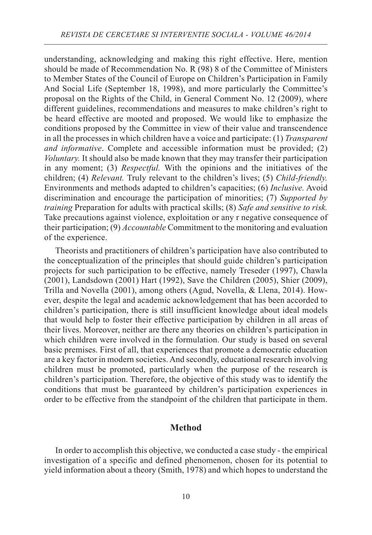understanding, acknowledging and making this right effective. Here, mention should be made of Recommendation No. R (98) 8 of the Committee of Ministers to Member States of the Council of Europe on Children's Participation in Family And Social Life (September 18, 1998), and more particularly the Committee's proposal on the Rights of the Child, in General Comment No. 12 (2009), where different guidelines, recommendations and measures to make children's right to be heard effective are mooted and proposed. We would like to emphasize the conditions proposed by the Committee in view of their value and transcendence in all the processes in which children have a voice and participate: (1) *Transparent and informative*. Complete and accessible information must be provided; (2) *Voluntary.* It should also be made known that they may transfer their participation in any moment; (3) *Respectful.* With the opinions and the initiatives of the children; (4) *Relevant.* Truly relevant to the children's lives; (5) *Child-friendly.* Environments and methods adapted to children's capacities; (6) *Inclusive.* Avoid discrimination and encourage the participation of minorities; (7) *Supported by training* Preparation for adults with practical skills; (8) *Safe and sensitive to risk.* Take precautions against violence, exploitation or any r negative consequence of their participation; (9) *Accountable* Commitment to the monitoring and evaluation of the experience.

Theorists and practitioners of children's participation have also contributed to the conceptualization of the principles that should guide children's participation projects for such participation to be effective, namely Treseder (1997), Chawla (2001), Landsdown (2001) Hart (1992), Save the Children (2005), Shier (2009), Trilla and Novella (2001), among others (Agud, Novella, & Llena, 2014). However, despite the legal and academic acknowledgement that has been accorded to children's participation, there is still insufficient knowledge about ideal models that would help to foster their effective participation by children in all areas of their lives. Moreover, neither are there any theories on children's participation in which children were involved in the formulation. Our study is based on several basic premises. First of all, that experiences that promote a democratic education are a key factor in modern societies. And secondly, educational research involving children must be promoted, particularly when the purpose of the research is children's participation. Therefore, the objective of this study was to identify the conditions that must be guaranteed by children's participation experiences in order to be effective from the standpoint of the children that participate in them.

#### **Method**

In order to accomplish this objective, we conducted a case study - the empirical investigation of a specific and defined phenomenon, chosen for its potential to yield information about a theory (Smith, 1978) and which hopes to understand the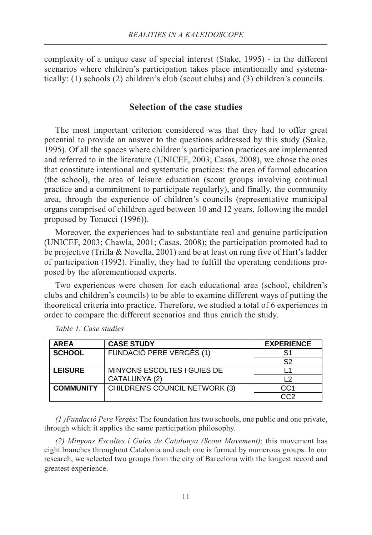complexity of a unique case of special interest (Stake, 1995) - in the different scenarios where children's participation takes place intentionally and systematically: (1) schools (2) children's club (scout clubs) and (3) children's councils.

# **Selection of the case studies**

The most important criterion considered was that they had to offer great potential to provide an answer to the questions addressed by this study (Stake, 1995). Of all the spaces where children's participation practices are implemented and referred to in the literature (UNICEF, 2003; Casas, 2008), we chose the ones that constitute intentional and systematic practices: the area of formal education (the school), the area of leisure education (scout groups involving continual practice and a commitment to participate regularly), and finally, the community area, through the experience of children's councils (representative municipal organs comprised of children aged between 10 and 12 years, following the model proposed by Tonucci (1996)).

Moreover, the experiences had to substantiate real and genuine participation (UNICEF, 2003; Chawla, 2001; Casas, 2008); the participation promoted had to be projective (Trilla & Novella, 2001) and be at least on rung five of Hart's ladder of participation (1992). Finally, they had to fulfill the operating conditions proposed by the aforementioned experts.

Two experiences were chosen for each educational area (school, children's clubs and children's councils) to be able to examine different ways of putting the theoretical criteria into practice. Therefore, we studied a total of 6 experiences in order to compare the different scenarios and thus enrich the study.

| <b>AREA</b>      | <b>CASE STUDY</b>              | <b>EXPERIENCE</b> |
|------------------|--------------------------------|-------------------|
| <b>SCHOOL</b>    | FUNDACIÓ PERE VERGÉS (1)       | S1                |
|                  |                                | S2                |
| <b>LEISURE</b>   | MINYONS ESCOLTES I GUIES DE    |                   |
|                  | CATALUNYA (2)                  | 12                |
| <b>COMMUNITY</b> | CHILDREN'S COUNCIL NETWORK (3) | CC <sub>1</sub>   |
|                  |                                | CC2               |

*Table 1. Case studies*

*(1 )Fundació Pere Vergès*: The foundation has two schools, one public and one private, through which it applies the same participation philosophy.

*(2) Minyons Escoltes i Guies de Catalunya (Scout Movement)*: this movement has eight branches throughout Catalonia and each one is formed by numerous groups. In our research, we selected two groups from the city of Barcelona with the longest record and greatest experience.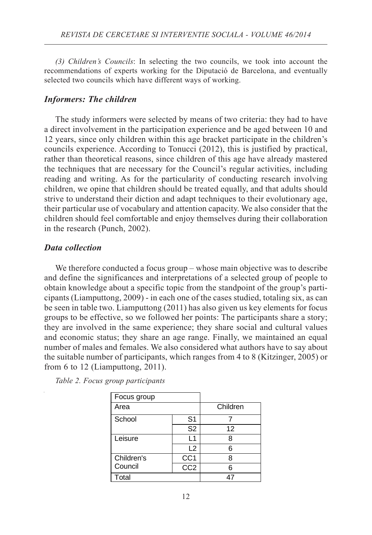*(3) Children's Councils*: In selecting the two councils, we took into account the recommendations of experts working for the Diputació de Barcelona, and eventually selected two councils which have different ways of working.

#### *Informers: The children*

The study informers were selected by means of two criteria: they had to have a direct involvement in the participation experience and be aged between 10 and 12 years, since only children within this age bracket participate in the children's councils experience. According to Tonucci (2012), this is justified by practical, rather than theoretical reasons, since children of this age have already mastered the techniques that are necessary for the Council's regular activities, including reading and writing. As for the particularity of conducting research involving children, we opine that children should be treated equally, and that adults should strive to understand their diction and adapt techniques to their evolutionary age, their particular use of vocabulary and attention capacity. We also consider that the children should feel comfortable and enjoy themselves during their collaboration in the research (Punch, 2002).

#### *Data collection*

We therefore conducted a focus group – whose main objective was to describe and define the significances and interpretations of a selected group of people to obtain knowledge about a specific topic from the standpoint of the group's participants (Liamputtong, 2009) - in each one of the cases studied, totaling six, as can be seen in table two. Liamputtong (2011) has also given us key elements for focus groups to be effective, so we followed her points: The participants share a story; they are involved in the same experience; they share social and cultural values and economic status; they share an age range. Finally, we maintained an equal number of males and females. We also considered what authors have to say about the suitable number of participants, which ranges from 4 to 8 (Kitzinger, 2005) or from 6 to 12 (Liamputtong, 2011).

| Focus group |                  |    |
|-------------|------------------|----|
| Area        | Children         |    |
| School      | S <sub>1</sub>   |    |
|             | S <sub>2</sub>   | 12 |
| Leisure     | L1               | 8  |
|             | L2               | 6  |
| Children's  | CC <sub>1</sub>  | 8  |
| Council     | $\overline{CC2}$ | հ  |
| Total       |                  |    |

*Table 2. Focus group participants*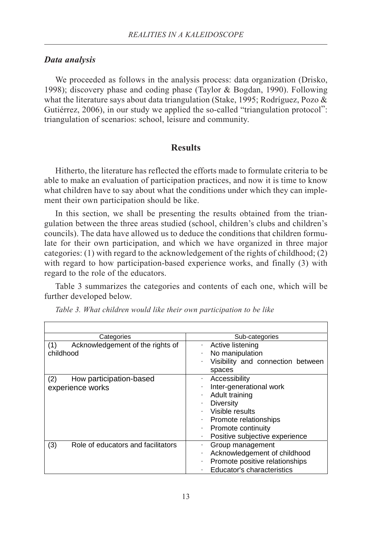## *Data analysis*

We proceeded as follows in the analysis process: data organization (Drisko, 1998); discovery phase and coding phase (Taylor & Bogdan, 1990). Following what the literature says about data triangulation (Stake, 1995; Rodríguez, Pozo & Gutiérrez, 2006), in our study we applied the so-called "triangulation protocol": triangulation of scenarios: school, leisure and community.

# **Results**

Hitherto, the literature has reflected the efforts made to formulate criteria to be able to make an evaluation of participation practices, and now it is time to know what children have to say about what the conditions under which they can implement their own participation should be like.

In this section, we shall be presenting the results obtained from the triangulation between the three areas studied (school, children's clubs and children's councils). The data have allowed us to deduce the conditions that children formulate for their own participation, and which we have organized in three major categories: (1) with regard to the acknowledgement of the rights of childhood; (2) with regard to how participation-based experience works, and finally (3) with regard to the role of the educators.

Table 3 summarizes the categories and contents of each one, which will be further developed below.

| Categories                                           | Sub-categories                                                                                                                                                                     |
|------------------------------------------------------|------------------------------------------------------------------------------------------------------------------------------------------------------------------------------------|
| Acknowledgement of the rights of<br>(1)<br>childhood | Active listening<br>No manipulation<br>Visibility and connection between<br>spaces                                                                                                 |
| How participation-based<br>(2)<br>experience works   | Accessibility<br>Inter-generational work<br>Adult training<br><b>Diversity</b><br>Visible results<br>Promote relationships<br>Promote continuity<br>Positive subjective experience |
| Role of educators and facilitators<br>(3)            | Group management<br>Acknowledgement of childhood<br>Promote positive relationships<br>Educator's characteristics                                                                   |

*Table 3. What children would like their own participation to be like*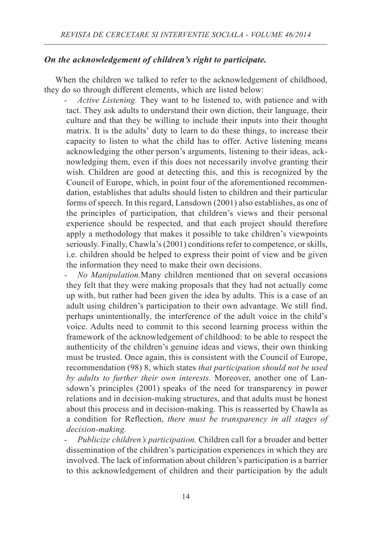# *On the acknowledgement of children's right to participate.*

When the children we talked to refer to the acknowledgement of childhood, they do so through different elements, which are listed below:

*- Active Listening.* They want to be listened to, with patience and with tact. They ask adults to understand their own diction, their language, their culture and that they be willing to include their inputs into their thought matrix. It is the adults' duty to learn to do these things, to increase their capacity to listen to what the child has to offer. Active listening means acknowledging the other person's arguments, listening to their ideas, acknowledging them, even if this does not necessarily involve granting their wish. Children are good at detecting this, and this is recognized by the Council of Europe, which, in point four of the aforementioned recommendation, establishes that adults should listen to children and their particular forms of speech. In this regard, Lansdown (2001) also establishes, as one of the principles of participation, that children's views and their personal experience should be respected, and that each project should therefore apply a methodology that makes it possible to take children's viewpoints seriously. Finally, Chawla's (2001) conditions refer to competence, or skills, i.e. children should be helped to express their point of view and be given the information they need to make their own decisions.

*- No Manipulation.*Many children mentioned that on several occasions they felt that they were making proposals that they had not actually come up with, but rather had been given the idea by adults. This is a case of an adult using children's participation to their own advantage. We still find, perhaps unintentionally, the interference of the adult voice in the child's voice. Adults need to commit to this second learning process within the framework of the acknowledgement of childhood: to be able to respect the authenticity of the children's genuine ideas and views, their own thinking must be trusted. Once again, this is consistent with the Council of Europe, recommendation (98) 8, which states *that participation should not be used by adults to further their own interests.* Moreover, another one of Lansdown's principles (2001) speaks of the need for transparency in power relations and in decision-making structures, and that adults must be honest about this process and in decision-making. This is reasserted by Chawla as a condition for Reflection, *there must be transparency in all stages of decision-making.*

*- Publicize children's participation.* Children call for a broader and better dissemination of the children's participation experiences in which they are involved. The lack of information about children's participation is a barrier to this acknowledgement of children and their participation by the adult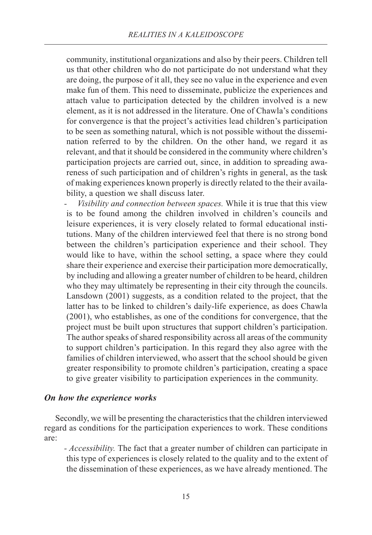community, institutional organizations and also by their peers. Children tell us that other children who do not participate do not understand what they are doing, the purpose of it all, they see no value in the experience and even make fun of them. This need to disseminate, publicize the experiences and attach value to participation detected by the children involved is a new element, as it is not addressed in the literature. One of Chawla's conditions for convergence is that the project's activities lead children's participation to be seen as something natural, which is not possible without the dissemination referred to by the children. On the other hand, we regard it as relevant, and that it should be considered in the community where children's participation projects are carried out, since, in addition to spreading awareness of such participation and of children's rights in general, as the task of making experiences known properly is directly related to the their availability, a question we shall discuss later.

*Visibility and connection between spaces.* While it is true that this view is to be found among the children involved in children's councils and leisure experiences, it is very closely related to formal educational institutions. Many of the children interviewed feel that there is no strong bond between the children's participation experience and their school. They would like to have, within the school setting, a space where they could share their experience and exercise their participation more democratically, by including and allowing a greater number of children to be heard, children who they may ultimately be representing in their city through the councils. Lansdown (2001) suggests, as a condition related to the project, that the latter has to be linked to children's daily-life experience, as does Chawla (2001), who establishes, as one of the conditions for convergence, that the project must be built upon structures that support children's participation. The author speaks of shared responsibility across all areas of the community to support children's participation. In this regard they also agree with the families of children interviewed, who assert that the school should be given greater responsibility to promote children's participation, creating a space to give greater visibility to participation experiences in the community.

#### *On how the experience works*

Secondly, we will be presenting the characteristics that the children interviewed regard as conditions for the participation experiences to work. These conditions are:

*- Accessibility.* The fact that a greater number of children can participate in this type of experiences is closely related to the quality and to the extent of the dissemination of these experiences, as we have already mentioned. The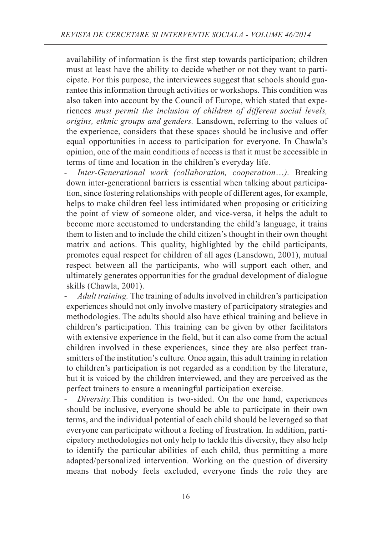availability of information is the first step towards participation; children must at least have the ability to decide whether or not they want to participate. For this purpose, the interviewees suggest that schools should guarantee this information through activities or workshops. This condition was also taken into account by the Council of Europe, which stated that experiences *must permit the inclusion of children of different social levels, origins, ethnic groups and genders.* Lansdown, referring to the values of the experience, considers that these spaces should be inclusive and offer equal opportunities in access to participation for everyone. In Chawla's opinion, one of the main conditions of access is that it must be accessible in terms of time and location in the children's everyday life.

*Inter-Generational work (collaboration, cooperation...).* Breaking down inter-generational barriers is essential when talking about participation, since fostering relationships with people of different ages, for example, helps to make children feel less intimidated when proposing or criticizing the point of view of someone older, and vice-versa, it helps the adult to become more accustomed to understanding the child's language, it trains them to listen and to include the child citizen's thought in their own thought matrix and actions. This quality, highlighted by the child participants, promotes equal respect for children of all ages (Lansdown, 2001), mutual respect between all the participants, who will support each other, and ultimately generates opportunities for the gradual development of dialogue skills (Chawla, 2001).

*- Adult training.* The training of adults involved in children's participation experiences should not only involve mastery of participatory strategies and methodologies. The adults should also have ethical training and believe in children's participation. This training can be given by other facilitators with extensive experience in the field, but it can also come from the actual children involved in these experiences, since they are also perfect transmitters of the institution's culture. Once again, this adult training in relation to children's participation is not regarded as a condition by the literature, but it is voiced by the children interviewed, and they are perceived as the perfect trainers to ensure a meaningful participation exercise.

*- Diversity.*This condition is two-sided. On the one hand, experiences should be inclusive, everyone should be able to participate in their own terms, and the individual potential of each child should be leveraged so that everyone can participate without a feeling of frustration. In addition, participatory methodologies not only help to tackle this diversity, they also help to identify the particular abilities of each child, thus permitting a more adapted/personalized intervention. Working on the question of diversity means that nobody feels excluded, everyone finds the role they are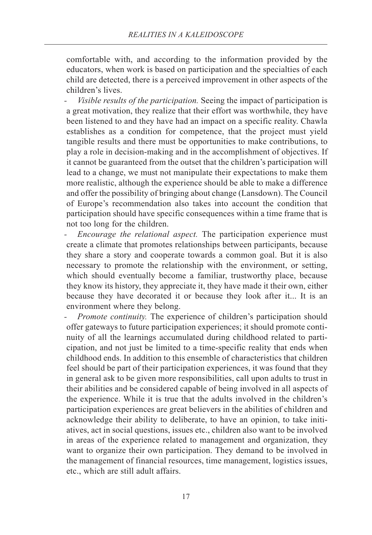comfortable with, and according to the information provided by the educators, when work is based on participation and the specialties of each child are detected, there is a perceived improvement in other aspects of the children's lives.

*- Visible results of the participation.* Seeing the impact of participation is a great motivation, they realize that their effort was worthwhile, they have been listened to and they have had an impact on a specific reality. Chawla establishes as a condition for competence, that the project must yield tangible results and there must be opportunities to make contributions, to play a role in decision-making and in the accomplishment of objectives. If it cannot be guaranteed from the outset that the children's participation will lead to a change, we must not manipulate their expectations to make them more realistic, although the experience should be able to make a difference and offer the possibility of bringing about change (Lansdown). The Council of Europe's recommendation also takes into account the condition that participation should have specific consequences within a time frame that is not too long for the children.

*Encourage the relational aspect.* The participation experience must create a climate that promotes relationships between participants, because they share a story and cooperate towards a common goal. But it is also necessary to promote the relationship with the environment, or setting, which should eventually become a familiar, trustworthy place, because they know its history, they appreciate it, they have made it their own, either because they have decorated it or because they look after it... It is an environment where they belong.

*Promote continuity.* The experience of children's participation should offer gateways to future participation experiences; it should promote continuity of all the learnings accumulated during childhood related to participation, and not just be limited to a time-specific reality that ends when childhood ends. In addition to this ensemble of characteristics that children feel should be part of their participation experiences, it was found that they in general ask to be given more responsibilities, call upon adults to trust in their abilities and be considered capable of being involved in all aspects of the experience. While it is true that the adults involved in the children's participation experiences are great believers in the abilities of children and acknowledge their ability to deliberate, to have an opinion, to take initiatives, act in social questions, issues etc., children also want to be involved in areas of the experience related to management and organization, they want to organize their own participation. They demand to be involved in the management of financial resources, time management, logistics issues, etc., which are still adult affairs.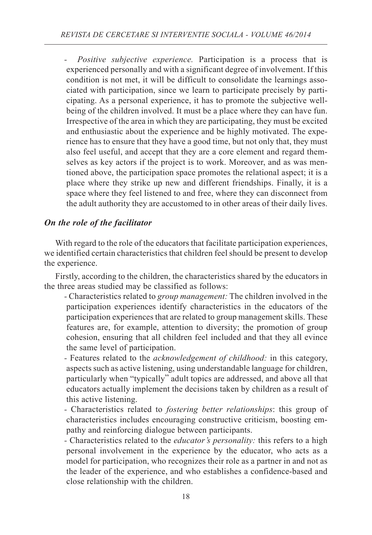*Positive subjective experience*. Participation is a process that is experienced personally and with a significant degree of involvement. If this condition is not met, it will be difficult to consolidate the learnings associated with participation, since we learn to participate precisely by participating. As a personal experience, it has to promote the subjective wellbeing of the children involved. It must be a place where they can have fun. Irrespective of the area in which they are participating, they must be excited and enthusiastic about the experience and be highly motivated. The experience has to ensure that they have a good time, but not only that, they must also feel useful, and accept that they are a core element and regard themselves as key actors if the project is to work. Moreover, and as was mentioned above, the participation space promotes the relational aspect; it is a place where they strike up new and different friendships. Finally, it is a space where they feel listened to and free, where they can disconnect from the adult authority they are accustomed to in other areas of their daily lives.

# *On the role of the facilitator*

With regard to the role of the educators that facilitate participation experiences, we identified certain characteristics that children feel should be present to develop the experience.

Firstly, according to the children, the characteristics shared by the educators in the three areas studied may be classified as follows:

*-* Characteristics related to *group management:* The children involved in the participation experiences identify characteristics in the educators of the participation experiences that are related to group management skills. These features are, for example, attention to diversity; the promotion of group cohesion, ensuring that all children feel included and that they all evince the same level of participation.

*-* Features related to the *acknowledgement of childhood:* in this category, aspects such as active listening, using understandable language for children, particularly when "typically" adult topics are addressed, and above all that educators actually implement the decisions taken by children as a result of this active listening.

- Characteristics related to *fostering better relationships*: this group of characteristics includes encouraging constructive criticism, boosting empathy and reinforcing dialogue between participants.
- Characteristics related to the *educator's personality:* this refers to a high personal involvement in the experience by the educator, who acts as a model for participation, who recognizes their role as a partner in and not as the leader of the experience, and who establishes a confidence-based and close relationship with the children.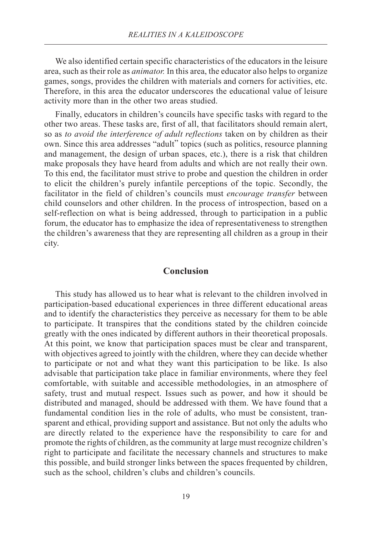We also identified certain specific characteristics of the educators in the leisure area, such as their role as *animator.* In this area, the educator also helps to organize games, songs, provides the children with materials and corners for activities, etc. Therefore, in this area the educator underscores the educational value of leisure activity more than in the other two areas studied.

Finally, educators in children's councils have specific tasks with regard to the other two areas. These tasks are, first of all, that facilitators should remain alert, so as *to avoid the interference of adult reflections* taken on by children as their own. Since this area addresses "adult" topics (such as politics, resource planning and management, the design of urban spaces, etc.), there is a risk that children make proposals they have heard from adults and which are not really their own. To this end, the facilitator must strive to probe and question the children in order to elicit the children's purely infantile perceptions of the topic. Secondly, the facilitator in the field of children's councils must *encourage transfer* between child counselors and other children. In the process of introspection, based on a self-reflection on what is being addressed, through to participation in a public forum, the educator has to emphasize the idea of representativeness to strengthen the children's awareness that they are representing all children as a group in their city.

## **Conclusion**

This study has allowed us to hear what is relevant to the children involved in participation-based educational experiences in three different educational areas and to identify the characteristics they perceive as necessary for them to be able to participate. It transpires that the conditions stated by the children coincide greatly with the ones indicated by different authors in their theoretical proposals. At this point, we know that participation spaces must be clear and transparent, with objectives agreed to jointly with the children, where they can decide whether to participate or not and what they want this participation to be like. Is also advisable that participation take place in familiar environments, where they feel comfortable, with suitable and accessible methodologies, in an atmosphere of safety, trust and mutual respect. Issues such as power, and how it should be distributed and managed, should be addressed with them. We have found that a fundamental condition lies in the role of adults, who must be consistent, transparent and ethical, providing support and assistance. But not only the adults who are directly related to the experience have the responsibility to care for and promote the rights of children, as the community at large must recognize children's right to participate and facilitate the necessary channels and structures to make this possible, and build stronger links between the spaces frequented by children, such as the school, children's clubs and children's councils.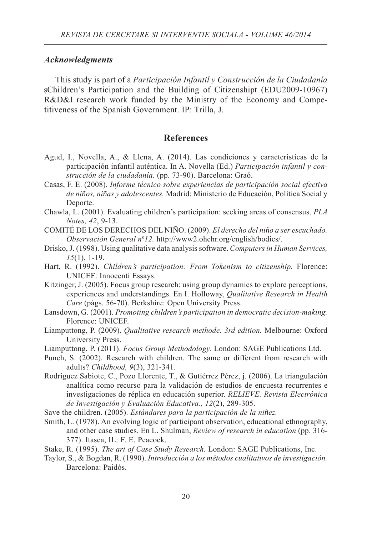#### *Acknowledgments*

This study is part of a *Participación Infantil y Construcción de la Ciudadanía* sChildren's Participation and the Building of Citizenshipt (EDU2009-10967) R&D&I research work funded by the Ministry of the Economy and Competitiveness of the Spanish Government. IP: Trilla, J.

#### **References**

- Agud, I., Novella, A., & Llena, A. (2014). Las condiciones y características de la participación infantil auténtica. In A. Novella (Ed.) *Participación infantil y construcción de la ciudadanía.* (pp. 73-90). Barcelona: Graó.
- Casas, F. E. (2008). *Informe técnico sobre experiencias de participación social efectiva de niños, niñas y adolescentes.* Madrid: Ministerio de Educación, Política Social y Deporte.
- Chawla, L. (2001). Evaluating children's participation: seeking areas of consensus. *PLA Notes, 42*, 9-13.
- COMITÉ DE LOS DERECHOS DEL NIÑO. (2009). *El derecho del niño a ser escuchado. Observación General nº12.* http://www2.ohchr.org/english/bodies/.
- Drisko, J. (1998). Using qualitative data analysis software. *Computers in Human Services, 15*(1), 1-19.
- Hart, R. (1992). *Children's participation: From Tokenism to citizenship.* Florence: UNICEF: Innocenti Essays.
- Kitzinger, J. (2005). Focus group research: using group dynamics to explore perceptions, experiences and understandings. En I. Holloway, *Qualitative Research in Health Care* (págs. 56-70). Berkshire: Open University Press.
- Lansdown, G. (2001). *Promoting children's participation in democratic decision-making.* Florence: UNICEF.
- Liamputtong, P. (2009). *Qualitative research methode. 3rd edition.* Melbourne: Oxford University Press.
- Liamputtong, P. (2011). *Focus Group Methodology.* London: SAGE Publications Ltd.
- Punch, S. (2002). Research with children. The same or different from research with adults? *Childhood, 9*(3), 321-341.
- Rodríguez Sabiote, C., Pozo Llorente, T., & Gutiérrez Pérez, j. (2006). La triangulación analítica como recurso para la validación de estudios de encuesta recurrentes e investigaciones de réplica en educación superior. *RELIEVE. Revista Electrónica de Investigación y Evaluación Educativa., 12*(2), 289-305.
- Save the children. (2005). *Estándares para la participación de la niñez.*
- Smith, L. (1978). An evolving logic of participant observation, educational ethnography, and other case studies. En L. Shulman, *Review of research in education* (pp. 316- 377). Itasca, IL: F. E. Peacock.
- Stake, R. (1995). *The art of Case Study Research.* London: SAGE Publications, Inc.
- Taylor, S., & Bogdan, R. (1990). *Introducción a los métodos cualitativos de investigación.* Barcelona: Paidós.